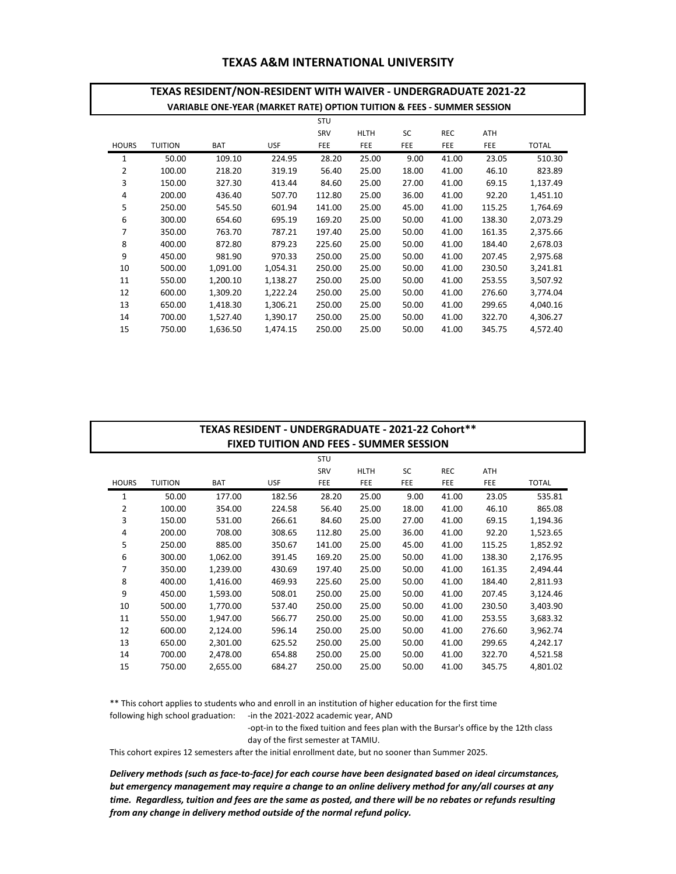## **TEXAS A&M INTERNATIONAL UNIVERSITY**

## STU SRV HLTH SC REC ATH HOURS TUITION BAT USF FEE FEE FEE FEE FEE TOTAL 1 50.00 109.10 224.95 28.20 25.00 9.00 41.00 23.05 510.30 2 100.00 218.20 319.19 56.40 25.00 18.00 41.00 46.10 823.89 3 150.00 327.30 413.44 84.60 25.00 27.00 41.00 69.15 1,137.49 4 200.00 436.40 507.70 112.80 25.00 36.00 41.00 92.20 1,451.10 5 250.00 545.50 601.94 141.00 25.00 45.00 41.00 115.25 1,764.69 6 300.00 654.60 695.19 169.20 25.00 50.00 41.00 138.30 2,073.29 7 350.00 763.70 787.21 197.40 25.00 50.00 41.00 161.35 2,375.66 8 400.00 872.80 879.23 225.60 25.00 50.00 41.00 184.40 2,678.03 9 450.00 981.90 970.33 250.00 25.00 50.00 41.00 207.45 2,975.68 10 500.00 1,091.00 1,054.31 250.00 25.00 50.00 41.00 230.50 3,241.81 11 550.00 1,200.10 1,138.27 250.00 25.00 50.00 41.00 253.55 3,507.92 12 600.00 1,309.20 1,222.24 250.00 25.00 50.00 41.00 276.60 3,774.04 13 650.00 1,418.30 1,306.21 250.00 25.00 50.00 41.00 299.65 4,040.16 14 700.00 1,527.40 1,390.17 250.00 25.00 50.00 41.00 322.70 4,306.27 15 750.00 1,636.50 1,474.15 250.00 25.00 50.00 41.00 345.75 4,572.40 **TEXAS RESIDENT/NON-RESIDENT WITH WAIVER - UNDERGRADUATE 2021-22 VARIABLE ONE-YEAR (MARKET RATE) OPTION TUITION & FEES - SUMMER SESSION**

| TEXAS RESIDENT - UNDERGRADUATE - 2021-22 Cohort** |                |            |            |        |             |            |            |            |              |  |
|---------------------------------------------------|----------------|------------|------------|--------|-------------|------------|------------|------------|--------------|--|
| <b>FIXED TUITION AND FEES - SUMMER SESSION</b>    |                |            |            |        |             |            |            |            |              |  |
|                                                   |                |            |            | STU    |             |            |            |            |              |  |
|                                                   |                |            |            | SRV    | <b>HLTH</b> | SC         | <b>REC</b> | ATH        |              |  |
| <b>HOURS</b>                                      | <b>TUITION</b> | <b>BAT</b> | <b>USF</b> | FEE    | FEE         | <b>FEE</b> | FEE        | <b>FEE</b> | <b>TOTAL</b> |  |
| 1                                                 | 50.00          | 177.00     | 182.56     | 28.20  | 25.00       | 9.00       | 41.00      | 23.05      | 535.81       |  |
| 2                                                 | 100.00         | 354.00     | 224.58     | 56.40  | 25.00       | 18.00      | 41.00      | 46.10      | 865.08       |  |
| 3                                                 | 150.00         | 531.00     | 266.61     | 84.60  | 25.00       | 27.00      | 41.00      | 69.15      | 1,194.36     |  |
| 4                                                 | 200.00         | 708.00     | 308.65     | 112.80 | 25.00       | 36.00      | 41.00      | 92.20      | 1,523.65     |  |
| 5                                                 | 250.00         | 885.00     | 350.67     | 141.00 | 25.00       | 45.00      | 41.00      | 115.25     | 1,852.92     |  |
| 6                                                 | 300.00         | 1,062.00   | 391.45     | 169.20 | 25.00       | 50.00      | 41.00      | 138.30     | 2,176.95     |  |
| 7                                                 | 350.00         | 1,239.00   | 430.69     | 197.40 | 25.00       | 50.00      | 41.00      | 161.35     | 2,494.44     |  |
| 8                                                 | 400.00         | 1,416.00   | 469.93     | 225.60 | 25.00       | 50.00      | 41.00      | 184.40     | 2,811.93     |  |
| 9                                                 | 450.00         | 1,593.00   | 508.01     | 250.00 | 25.00       | 50.00      | 41.00      | 207.45     | 3,124.46     |  |
| 10                                                | 500.00         | 1,770.00   | 537.40     | 250.00 | 25.00       | 50.00      | 41.00      | 230.50     | 3,403.90     |  |
| 11                                                | 550.00         | 1,947.00   | 566.77     | 250.00 | 25.00       | 50.00      | 41.00      | 253.55     | 3,683.32     |  |
| 12                                                | 600.00         | 2,124.00   | 596.14     | 250.00 | 25.00       | 50.00      | 41.00      | 276.60     | 3,962.74     |  |
| 13                                                | 650.00         | 2,301.00   | 625.52     | 250.00 | 25.00       | 50.00      | 41.00      | 299.65     | 4,242.17     |  |
| 14                                                | 700.00         | 2,478.00   | 654.88     | 250.00 | 25.00       | 50.00      | 41.00      | 322.70     | 4,521.58     |  |
| 15                                                | 750.00         | 2,655.00   | 684.27     | 250.00 | 25.00       | 50.00      | 41.00      | 345.75     | 4,801.02     |  |

\*\* This cohort applies to students who and enroll in an institution of higher education for the first time following high school graduation: - in the 2021-2022 academic year, AND

-opt-in to the fixed tuition and fees plan with the Bursar's office by the 12th class

day of the first semester at TAMIU.

This cohort expires 12 semesters after the initial enrollment date, but no sooner than Summer 2025.

*Delivery methods (such as face-to-face) for each course have been designated based on ideal circumstances, but emergency management may require a change to an online delivery method for any/all courses at any time. Regardless, tuition and fees are the same as posted, and there will be no rebates or refunds resulting from any change in delivery method outside of the normal refund policy.*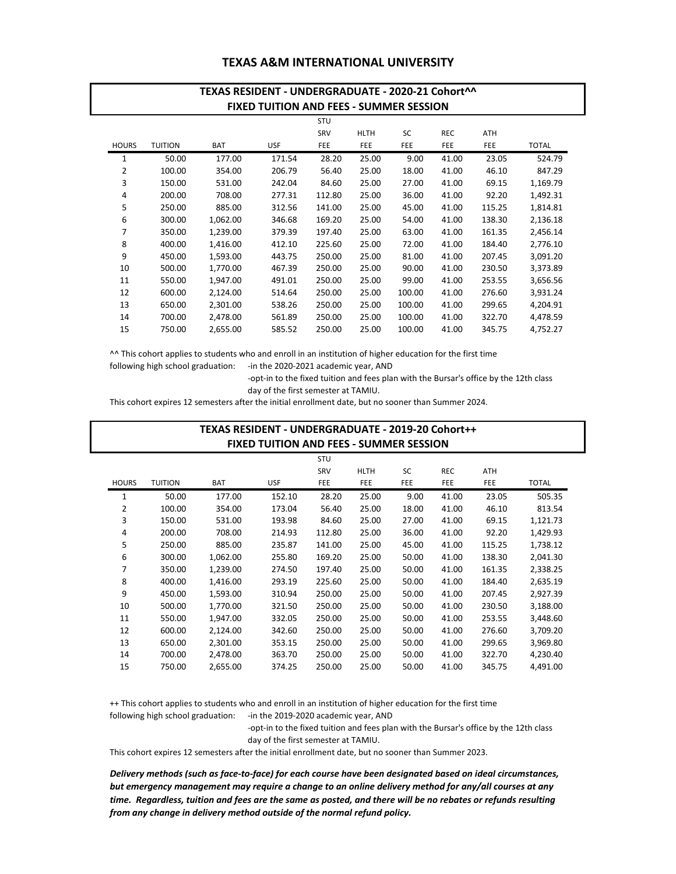## **TEXAS A&M INTERNATIONAL UNIVERSITY**

|                                                | TEXAS RESIDENT - UNDERGRADUATE - 2020-21 Cohort^^ |            |            |            |             |           |            |            |          |  |
|------------------------------------------------|---------------------------------------------------|------------|------------|------------|-------------|-----------|------------|------------|----------|--|
| <b>FIXED TUITION AND FEES - SUMMER SESSION</b> |                                                   |            |            |            |             |           |            |            |          |  |
|                                                |                                                   |            |            | <b>STU</b> |             |           |            |            |          |  |
|                                                |                                                   |            |            | SRV        | <b>HLTH</b> | <b>SC</b> | <b>REC</b> | <b>ATH</b> |          |  |
| <b>HOURS</b>                                   | <b>TUITION</b>                                    | <b>BAT</b> | <b>USF</b> | FEE        | <b>FEE</b>  | FEE       | <b>FEE</b> | FEE        | TOTAL    |  |
| 1                                              | 50.00                                             | 177.00     | 171.54     | 28.20      | 25.00       | 9.00      | 41.00      | 23.05      | 524.79   |  |
| 2                                              | 100.00                                            | 354.00     | 206.79     | 56.40      | 25.00       | 18.00     | 41.00      | 46.10      | 847.29   |  |
| 3                                              | 150.00                                            | 531.00     | 242.04     | 84.60      | 25.00       | 27.00     | 41.00      | 69.15      | 1,169.79 |  |
| 4                                              | 200.00                                            | 708.00     | 277.31     | 112.80     | 25.00       | 36.00     | 41.00      | 92.20      | 1,492.31 |  |
| 5                                              | 250.00                                            | 885.00     | 312.56     | 141.00     | 25.00       | 45.00     | 41.00      | 115.25     | 1,814.81 |  |
| 6                                              | 300.00                                            | 1,062.00   | 346.68     | 169.20     | 25.00       | 54.00     | 41.00      | 138.30     | 2,136.18 |  |
| 7                                              | 350.00                                            | 1.239.00   | 379.39     | 197.40     | 25.00       | 63.00     | 41.00      | 161.35     | 2,456.14 |  |
| 8                                              | 400.00                                            | 1,416.00   | 412.10     | 225.60     | 25.00       | 72.00     | 41.00      | 184.40     | 2,776.10 |  |
| 9                                              | 450.00                                            | 1,593.00   | 443.75     | 250.00     | 25.00       | 81.00     | 41.00      | 207.45     | 3,091.20 |  |
| 10                                             | 500.00                                            | 1,770.00   | 467.39     | 250.00     | 25.00       | 90.00     | 41.00      | 230.50     | 3,373.89 |  |
| 11                                             | 550.00                                            | 1,947.00   | 491.01     | 250.00     | 25.00       | 99.00     | 41.00      | 253.55     | 3,656.56 |  |
| 12                                             | 600.00                                            | 2,124.00   | 514.64     | 250.00     | 25.00       | 100.00    | 41.00      | 276.60     | 3,931.24 |  |
| 13                                             | 650.00                                            | 2,301.00   | 538.26     | 250.00     | 25.00       | 100.00    | 41.00      | 299.65     | 4,204.91 |  |
| 14                                             | 700.00                                            | 2,478.00   | 561.89     | 250.00     | 25.00       | 100.00    | 41.00      | 322.70     | 4,478.59 |  |
| 15                                             | 750.00                                            | 2,655.00   | 585.52     | 250.00     | 25.00       | 100.00    | 41.00      | 345.75     | 4,752.27 |  |

^^ This cohort applies to students who and enroll in an institution of higher education for the first time following high school graduation: - in the 2020-2021 academic year, AND

> -opt-in to the fixed tuition and fees plan with the Bursar's office by the 12th class day of the first semester at TAMIU.

This cohort expires 12 semesters after the initial enrollment date, but no sooner than Summer 2024.

|              | TEXAS RESIDENT - UNDERGRADUATE - 2019-20 Cohort++ |            |            |            |             |           |            |            |              |  |  |
|--------------|---------------------------------------------------|------------|------------|------------|-------------|-----------|------------|------------|--------------|--|--|
|              | <b>FIXED TUITION AND FEES - SUMMER SESSION</b>    |            |            |            |             |           |            |            |              |  |  |
|              |                                                   |            |            | STU        |             |           |            |            |              |  |  |
|              |                                                   |            |            | SRV        | <b>HLTH</b> | <b>SC</b> | <b>REC</b> | ATH        |              |  |  |
| <b>HOURS</b> | <b>TUITION</b>                                    | <b>BAT</b> | <b>USF</b> | <b>FEE</b> | FEE         | FEE       | FEE        | <b>FEE</b> | <b>TOTAL</b> |  |  |
| 1            | 50.00                                             | 177.00     | 152.10     | 28.20      | 25.00       | 9.00      | 41.00      | 23.05      | 505.35       |  |  |
| 2            | 100.00                                            | 354.00     | 173.04     | 56.40      | 25.00       | 18.00     | 41.00      | 46.10      | 813.54       |  |  |
| 3            | 150.00                                            | 531.00     | 193.98     | 84.60      | 25.00       | 27.00     | 41.00      | 69.15      | 1,121.73     |  |  |
| 4            | 200.00                                            | 708.00     | 214.93     | 112.80     | 25.00       | 36.00     | 41.00      | 92.20      | 1,429.93     |  |  |
| 5            | 250.00                                            | 885.00     | 235.87     | 141.00     | 25.00       | 45.00     | 41.00      | 115.25     | 1,738.12     |  |  |
| 6            | 300.00                                            | 1,062.00   | 255.80     | 169.20     | 25.00       | 50.00     | 41.00      | 138.30     | 2,041.30     |  |  |
| 7            | 350.00                                            | 1,239.00   | 274.50     | 197.40     | 25.00       | 50.00     | 41.00      | 161.35     | 2,338.25     |  |  |
| 8            | 400.00                                            | 1,416.00   | 293.19     | 225.60     | 25.00       | 50.00     | 41.00      | 184.40     | 2,635.19     |  |  |
| 9            | 450.00                                            | 1,593.00   | 310.94     | 250.00     | 25.00       | 50.00     | 41.00      | 207.45     | 2,927.39     |  |  |
| 10           | 500.00                                            | 1,770.00   | 321.50     | 250.00     | 25.00       | 50.00     | 41.00      | 230.50     | 3,188.00     |  |  |
| 11           | 550.00                                            | 1,947.00   | 332.05     | 250.00     | 25.00       | 50.00     | 41.00      | 253.55     | 3,448.60     |  |  |
| 12           | 600.00                                            | 2,124.00   | 342.60     | 250.00     | 25.00       | 50.00     | 41.00      | 276.60     | 3,709.20     |  |  |
| 13           | 650.00                                            | 2,301.00   | 353.15     | 250.00     | 25.00       | 50.00     | 41.00      | 299.65     | 3,969.80     |  |  |
| 14           | 700.00                                            | 2,478.00   | 363.70     | 250.00     | 25.00       | 50.00     | 41.00      | 322.70     | 4,230.40     |  |  |
| 15           | 750.00                                            | 2,655.00   | 374.25     | 250.00     | 25.00       | 50.00     | 41.00      | 345.75     | 4,491.00     |  |  |

following high school graduation: - in the 2019-2020 academic year, AND ++ This cohort applies to students who and enroll in an institution of higher education for the first time

> -opt-in to the fixed tuition and fees plan with the Bursar's office by the 12th class day of the first semester at TAMIU.

This cohort expires 12 semesters after the initial enrollment date, but no sooner than Summer 2023.

*Delivery methods (such as face-to-face) for each course have been designated based on ideal circumstances, but emergency management may require a change to an online delivery method for any/all courses at any time. Regardless, tuition and fees are the same as posted, and there will be no rebates or refunds resulting from any change in delivery method outside of the normal refund policy.*